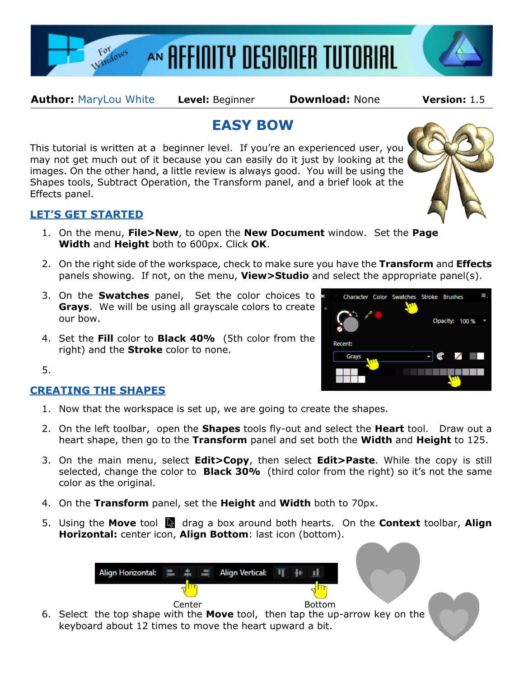

**Author:** [MaryLou White](mailto:mlwhite@pircnet.com) **Level:** Beginner **Download:** None **Version:** 1.5

# **EASY BOW**

This tutorial is written at a beginner level. If you're an experienced user, you may not get much out of it because you can easily do it just by looking at the images. On the other hand, a little review is always good. You will be using the Shapes tools, Subtract Operation, the Transform panel, and a brief look at the Effects panel.

# **LET'S GET STARTED**

- 1. On the menu, **File>New**, to open the **New Document** window. Set the **Page Width** and **Height** both to 600px. Click **OK**.
- 2. On the right side of the workspace, check to make sure you have the **Transform** and **Effects** panels showing. If not, on the menu, **View>Studio** and select the appropriate panel(s).
- 3. On the **Swatches** panel, Set the color choices to **Grays**. We will be using all grayscale colors to create our bow.
- 4. Set the **Fill** color to **Black 40%** (5th color from the right) and the **Stroke** color to none.

Opacity: 100 % **Recent:** Gravs

Character Color Swatches Stroke Brushes

5.

# **CREATING THE SHAPES**

- 1. Now that the workspace is set up, we are going to create the shapes.
- 2. On the left toolbar, open the **Shapes** tools fly-out and select the **Heart** tool. Draw out a heart shape, then go to the **Transform** panel and set both the **Width** and **Height** to 125.
- 3. On the main menu, select **Edit>Copy**, then select **Edit>Paste**. While the copy is still selected, change the color to **Black 30%** (third color from the right) so it's not the same color as the original.
- 4. On the **Transform** panel, set the **Height** and **Width** both to 70px.
- 5. Using the **Move** tool **d** drag a box around both hearts. On the **Context** toolbar, **Align Horizontal:** center icon, **Align Bottom**: last icon (bottom).

| Align Horizontal: $\ \cdot\ $ $\ \cdot\ $ Align Vertical: $\ \cdot\ $ |        | <b>Tales</b>  |
|-----------------------------------------------------------------------|--------|---------------|
|                                                                       |        |               |
|                                                                       | Center | <b>Bottom</b> |

6. Select the top shape with the **Move** tool, then tap the up-arrow key on the keyboard about 12 times to move the heart upward a bit.



 $\equiv$ .

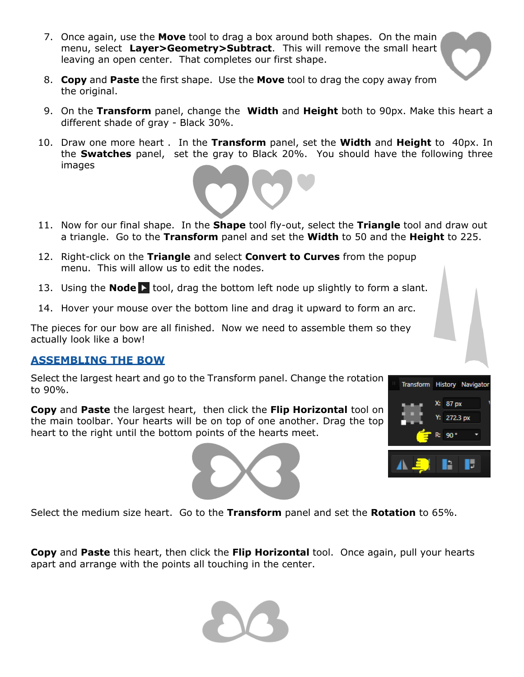- 7. Once again, use the **Move** tool to drag a box around both shapes. On the main menu, select **Layer>Geometry>Subtract**. This will remove the small heart leaving an open center. That completes our first shape.
- 8. **Copy** and **Paste** the first shape. Use the **Move** tool to drag the copy away from the original.
- 9. On the **Transform** panel, change the **Width** and **Height** both to 90px. Make this heart a different shade of gray - Black 30%.
- 10. Draw one more heart . In the **Transform** panel, set the **Width** and **Height** to 40px. In the **Swatches** panel, set the gray to Black 20%. You should have the following three images



- 11. Now for our final shape. In the **Shape** tool fly-out, select the **Triangle** tool and draw out a triangle. Go to the **Transform** panel and set the **Width** to 50 and the **Height** to 225.
- 12. Right-click on the **Triangle** and select **Convert to Curves** from the popup menu. This will allow us to edit the nodes.
- 13. Using the **Node** tool, drag the bottom left node up slightly to form a slant.
- 14. Hover your mouse over the bottom line and drag it upward to form an arc.

The pieces for our bow are all finished. Now we need to assemble them so they actually look like a bow!

### **ASSEMBLING THE BOW**

Select the largest heart and go to the Transform panel. Change the rotation to 90%.

**Copy** and **Paste** the largest heart, then click the **Flip Horizontal** tool on the main toolbar. Your hearts will be on top of one another. Drag the top heart to the right until the bottom points of the hearts meet.





Select the medium size heart. Go to the **Transform** panel and set the **Rotation** to 65%.

**Copy** and **Paste** this heart, then click the **Flip Horizontal** tool. Once again, pull your hearts apart and arrange with the points all touching in the center.